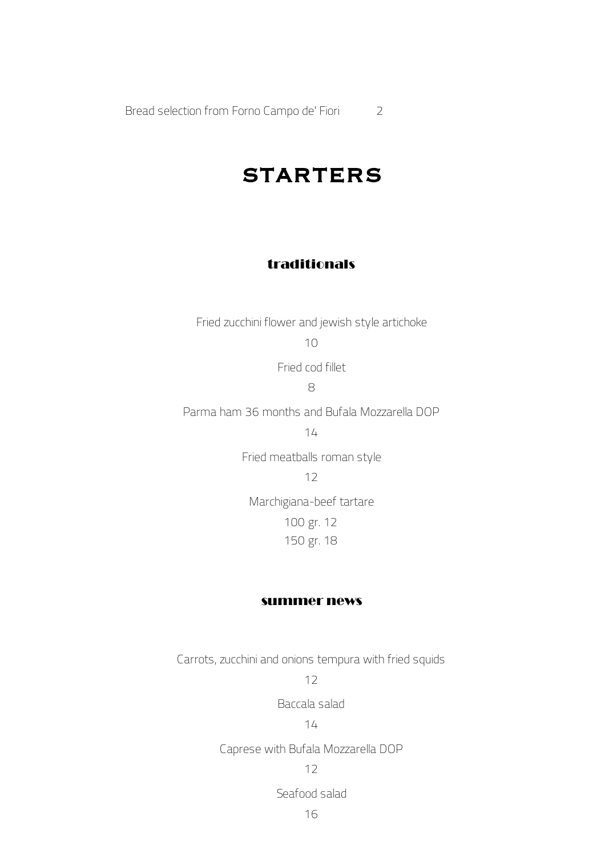Bread selection from Forno Campo de' Fiori 2

### STARTERS

### traditionals

Fried zucchini flower and jewish style artichoke 10

Fried cod fillet

8

Parma ham 36 months and Bufala Mozzarella DOP

14

Fried meatballs roman style

12

Marchigiana-beef tartare 100 gr. 12 150 gr. 18

#### summer news

Carrots, zucchini and onions tempura with fried squids

12

Baccala salad

#### 14

Caprese with Bufala Mozzarella DOP

12

Seafood salad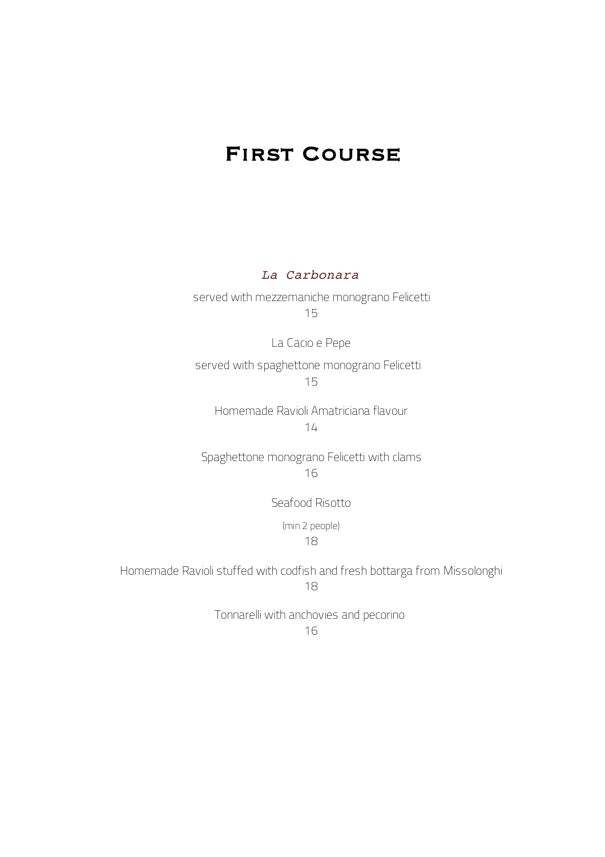## First Course

*La Carbonara*

served with mezzemaniche monograno Felicetti 15

La Cacio e Pepe

served with spaghettone monograno Felicetti 15

Homemade Ravioli Amatriciana flavour 14

Spaghettone monograno Felicetti with clams 16

Seafood Risotto

(min 2 people)

18

Homemade Ravioli stuffed with codfish and fresh bottarga from Missolonghi 18

> Tonnarelli with anchovies and pecorino 16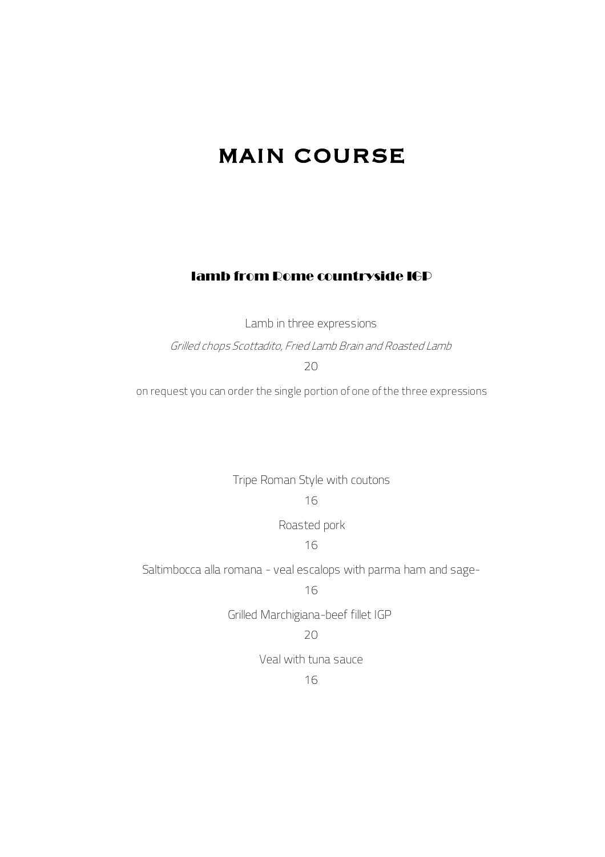## MAIN COURSE

#### lamb from Rome countryside IGP

Lamb in three expressions

Grilled chops Scottadito, Fried Lamb Brain and Roasted Lamb

 $20$ 

on request you can order the single portion of one of the three expressions

Tripe Roman Style with coutons

#### 16

Roasted pork

16

Saltimbocca alla romana - veal escalops with parma ham and sage-

16

Grilled Marchigiana-beef fillet IGP

#### $20$

Veal with tuna sauce

16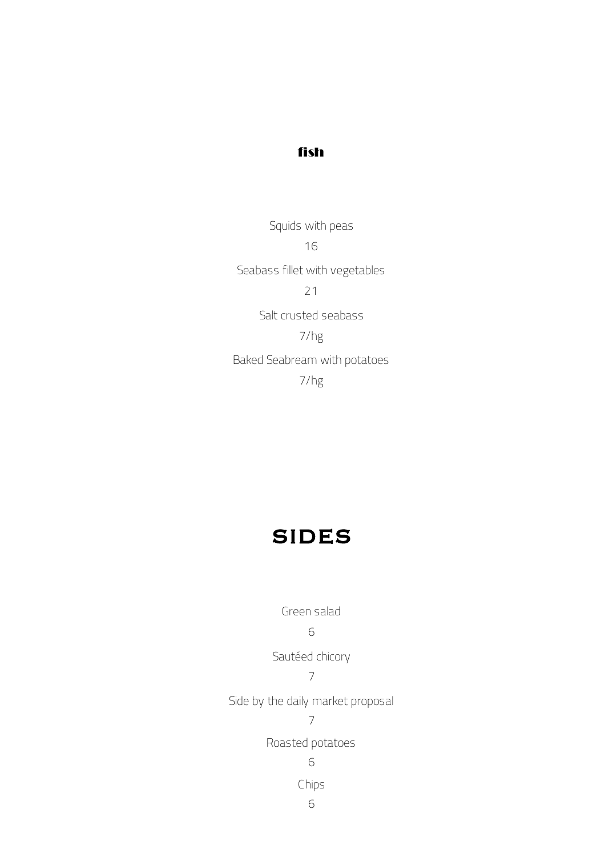### fish

Squids with peas 16 Seabass fillet with vegetables 21 Salt crusted seabass 7/hg Baked Seabream with potatoes 7/hg

# SIDES

Green salad

6

Sautéed chicory

7

Side by the daily market proposal

7

Roasted potatoes

6

Chips